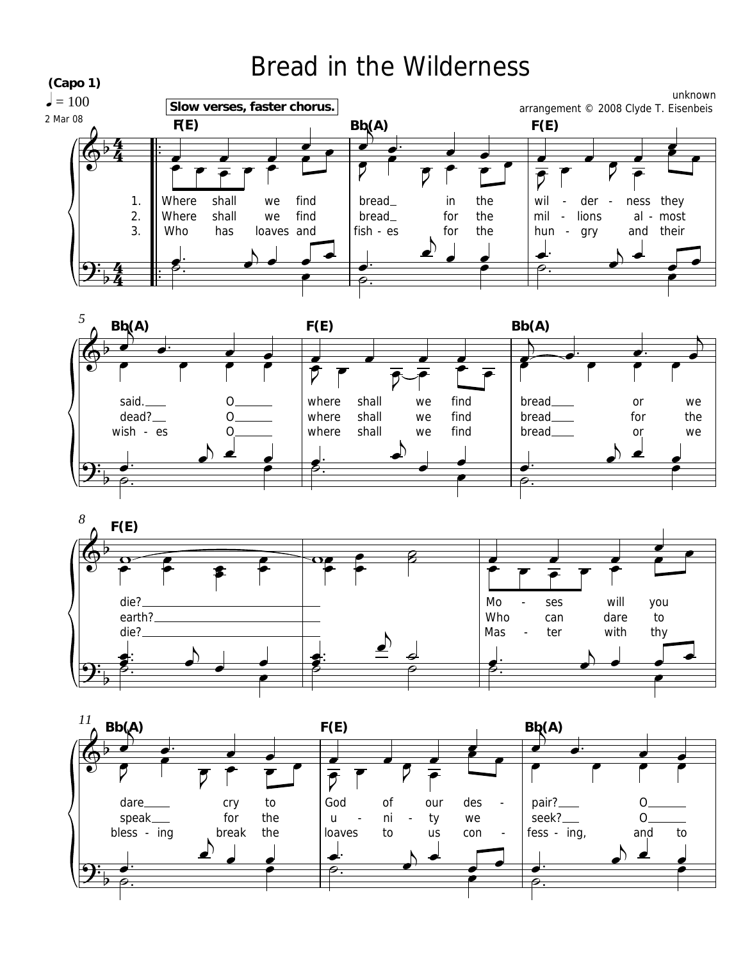

speak\_

bless - ing

for

break

 $\blacktriangle$ 

the

the

 $\mathsf{u}$ 

loaves

ni

to

 $\overline{a}$ 

ty

us

we

con

seek?\_\_

À

 $fess - ing,$ 

 $O<sub>1</sub>$ 

and

to